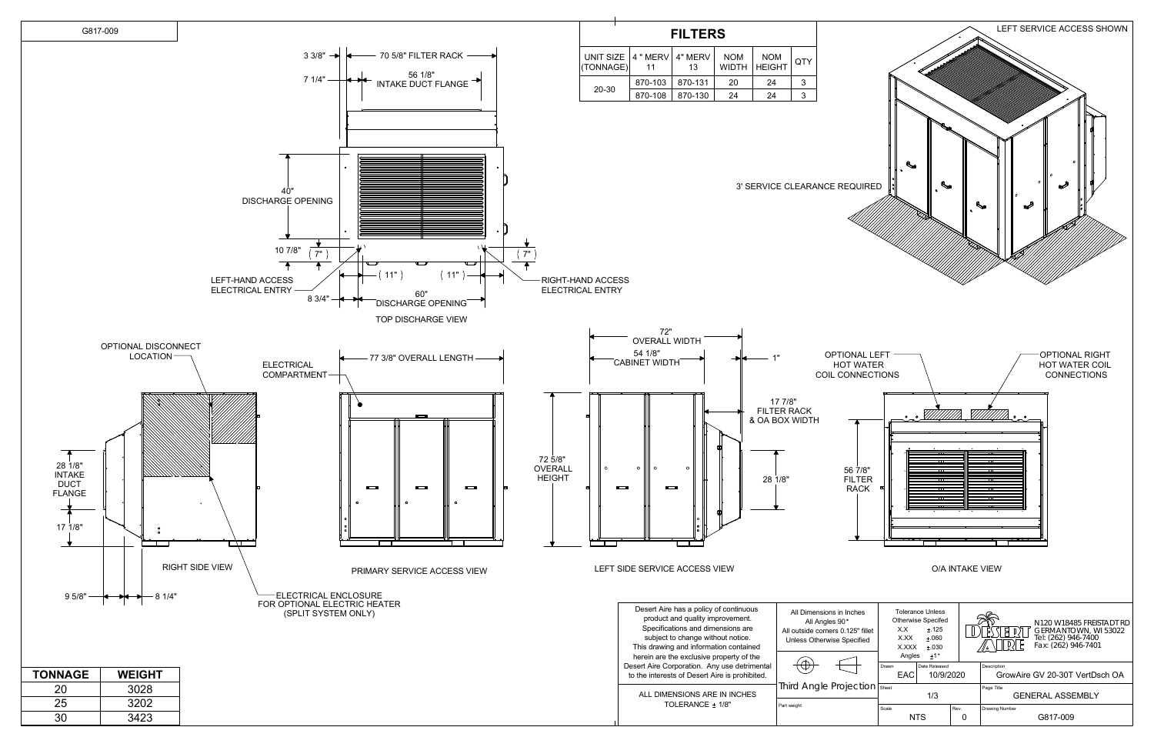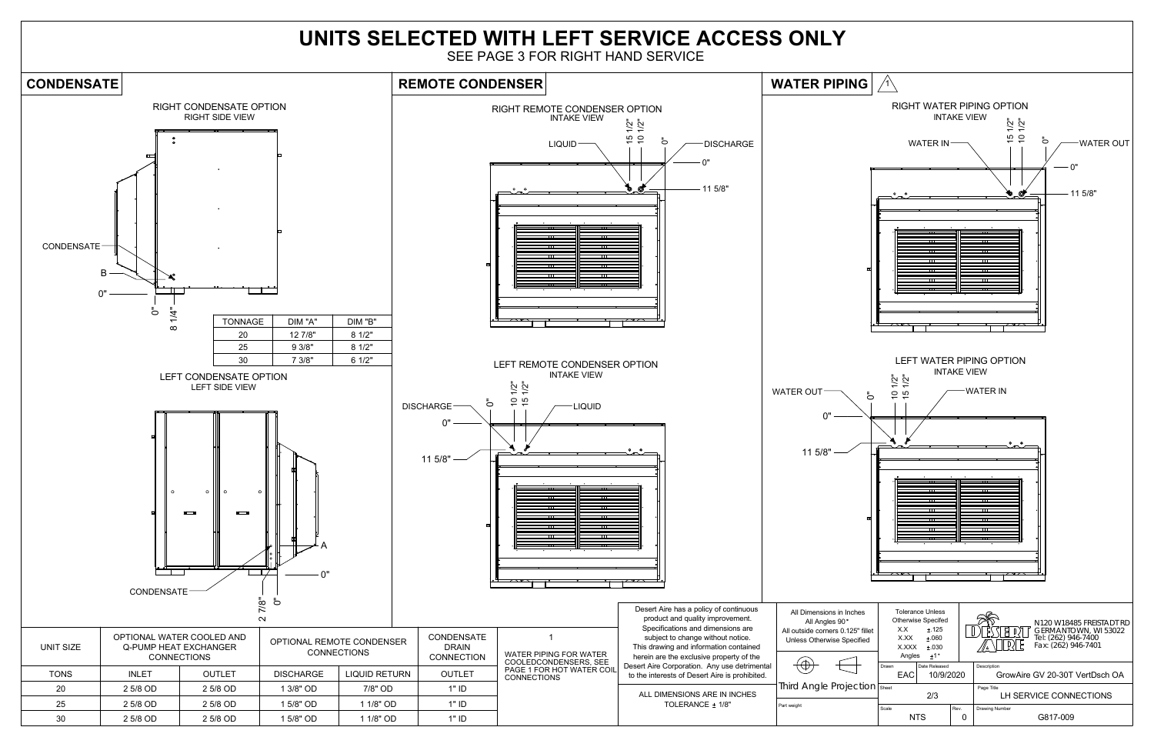